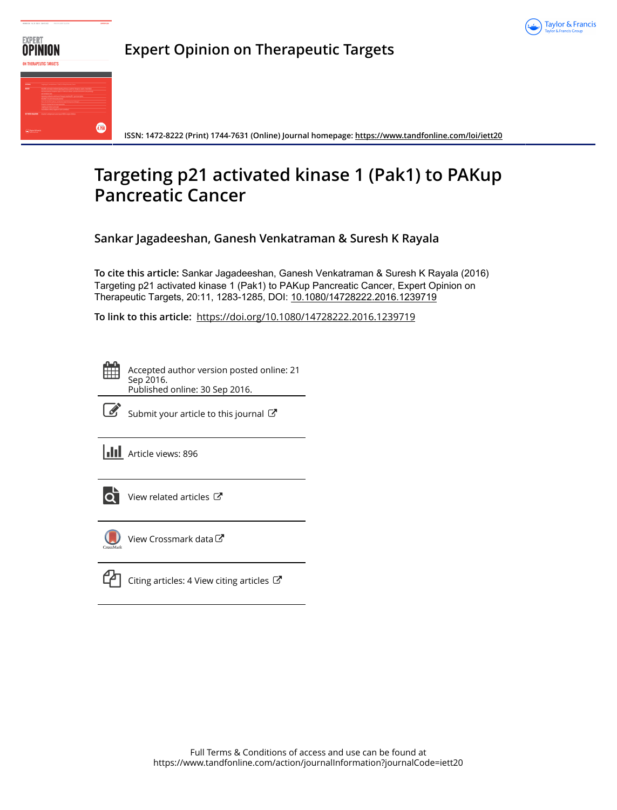



**Expert Opinion on Therapeutic Targets**

**ISSN: 1472-8222 (Print) 1744-7631 (Online) Journal homepage:<https://www.tandfonline.com/loi/iett20>**

# **Targeting p21 activated kinase 1 (Pak1) to PAKup Pancreatic Cancer**

**Sankar Jagadeeshan, Ganesh Venkatraman & Suresh K Rayala**

**To cite this article:** Sankar Jagadeeshan, Ganesh Venkatraman & Suresh K Rayala (2016) Targeting p21 activated kinase 1 (Pak1) to PAKup Pancreatic Cancer, Expert Opinion on Therapeutic Targets, 20:11, 1283-1285, DOI: [10.1080/14728222.2016.1239719](https://www.tandfonline.com/action/showCitFormats?doi=10.1080/14728222.2016.1239719)

**To link to this article:** <https://doi.org/10.1080/14728222.2016.1239719>

Accepted author version posted online: 21 Sep 2016. Published online: 30 Sep 2016.



 $\mathbb{Z}$  [Submit your article to this journal](https://www.tandfonline.com/action/authorSubmission?journalCode=iett20&show=instructions)  $\mathbb{Z}$ 

**III** Article views: 896



[View related articles](https://www.tandfonline.com/doi/mlt/10.1080/14728222.2016.1239719)  $\mathbb{Z}$ 



[View Crossmark data](http://crossmark.crossref.org/dialog/?doi=10.1080/14728222.2016.1239719&domain=pdf&date_stamp=2016-09-21)

[Citing articles: 4 View citing articles](https://www.tandfonline.com/doi/citedby/10.1080/14728222.2016.1239719#tabModule)  $\mathbb{Z}$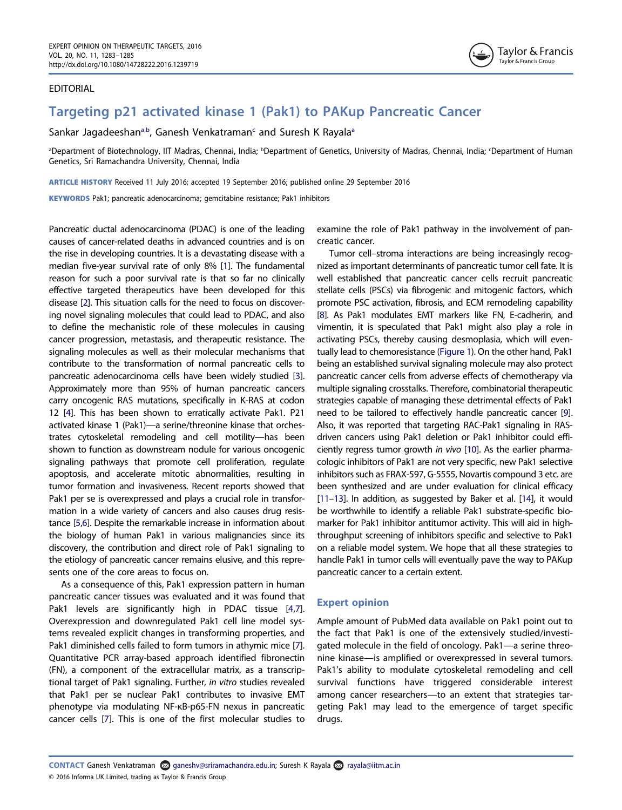## EDITORIAL



# Targeting p21 activated kinase 1 (Pak1) to PAKup Pancreatic Cancer

S[a](#page-1-0)nkar Jagadeeshan<sup>a,b</sup>, Ganesh Venkatraman<sup>c</sup> and Suresh K Rayala<sup>a</sup>

<span id="page-1-0"></span>ªDepartment of Biotechnology, IIT Madras, Chennai, India; <sup>b</sup>Department of Genetics, University of Madras, Chennai, India; <sup>c</sup>Department of Human Genetics, Sri Ramachandra University, Chennai, India

ARTICLE HISTORY Received 11 July 2016; accepted 19 September 2016; published online 29 September 2016

KEYWORDS Pak1; pancreatic adenocarcinoma; gemcitabine resistance; Pak1 inhibitors

<span id="page-1-3"></span><span id="page-1-2"></span><span id="page-1-1"></span>Pancreatic ductal adenocarcinoma (PDAC) is one of the leading causes of cancer-related deaths in advanced countries and is on the rise in developing countries. It is a devastating disease with a median five-year survival rate of only 8% [[1](#page-2-0)]. The fundamental reason for such a poor survival rate is that so far no clinically effective targeted therapeutics have been developed for this disease [\[2\]](#page-2-1). This situation calls for the need to focus on discovering novel signaling molecules that could lead to PDAC, and also to define the mechanistic role of these molecules in causing cancer progression, metastasis, and therapeutic resistance. The signaling molecules as well as their molecular mechanisms that contribute to the transformation of normal pancreatic cells to pancreatic adenocarcinoma cells have been widely studied [[3](#page-2-2)]. Approximately more than 95% of human pancreatic cancers carry oncogenic RAS mutations, specifically in K-RAS at codon 12 [[4](#page-2-3)]. This has been shown to erratically activate Pak1. P21 activated kinase 1 (Pak1)—a serine/threonine kinase that orchestrates cytoskeletal remodeling and cell motility—has been shown to function as downstream nodule for various oncogenic signaling pathways that promote cell proliferation, regulate apoptosis, and accelerate mitotic abnormalities, resulting in tumor formation and invasiveness. Recent reports showed that Pak1 per se is overexpressed and plays a crucial role in transformation in a wide variety of cancers and also causes drug resistance [\[5,](#page-3-0)[6](#page-3-1)]. Despite the remarkable increase in information about the biology of human Pak1 in various malignancies since its discovery, the contribution and direct role of Pak1 signaling to the etiology of pancreatic cancer remains elusive, and this represents one of the core areas to focus on.

<span id="page-1-6"></span><span id="page-1-5"></span><span id="page-1-4"></span>As a consequence of this, Pak1 expression pattern in human pancreatic cancer tissues was evaluated and it was found that Pak1 levels are significantly high in PDAC tissue [[4](#page-2-3)[,7](#page-3-2)]. Overexpression and downregulated Pak1 cell line model systems revealed explicit changes in transforming properties, and Pak1 diminished cells failed to form tumors in athymic mice [\[7](#page-3-2)]. Quantitative PCR array-based approach identified fibronectin (FN), a component of the extracellular matrix, as a transcriptional target of Pak1 signaling. Further, in vitro studies revealed that Pak1 per se nuclear Pak1 contributes to invasive EMT phenotype via modulating NF-κB-p65-FN nexus in pancreatic cancer cells [\[7\]](#page-3-2). This is one of the first molecular studies to

examine the role of Pak1 pathway in the involvement of pancreatic cancer.

<span id="page-1-8"></span><span id="page-1-7"></span>Tumor cell–stroma interactions are being increasingly recognized as important determinants of pancreatic tumor cell fate. It is well established that pancreatic cancer cells recruit pancreatic stellate cells (PSCs) via fibrogenic and mitogenic factors, which promote PSC activation, fibrosis, and ECM remodeling capability [\[8\]](#page-3-3). As Pak1 modulates EMT markers like FN, E-cadherin, and vimentin, it is speculated that Pak1 might also play a role in activating PSCs, thereby causing desmoplasia, which will eventually lead to chemoresistance [\(Figure 1\)](#page-2-4). On the other hand, Pak1 being an established survival signaling molecule may also protect pancreatic cancer cells from adverse effects of chemotherapy via multiple signaling crosstalks. Therefore, combinatorial therapeutic strategies capable of managing these detrimental effects of Pak1 need to be tailored to effectively handle pancreatic cancer [\[9\]](#page-3-4). Also, it was reported that targeting RAC-Pak1 signaling in RASdriven cancers using Pak1 deletion or Pak1 inhibitor could efficiently regress tumor growth in vivo [[10\]](#page-3-5). As the earlier pharmacologic inhibitors of Pak1 are not very specific, new Pak1 selective inhibitors such as FRAX-597, G-5555, Novartis compound 3 etc. are been synthesized and are under evaluation for clinical efficacy [\[11](#page-3-6)–[13\]](#page-3-7). In addition, as suggested by Baker et al. [\[14\]](#page-3-8), it would be worthwhile to identify a reliable Pak1 substrate-specific biomarker for Pak1 inhibitor antitumor activity. This will aid in highthroughput screening of inhibitors specific and selective to Pak1 on a reliable model system. We hope that all these strategies to handle Pak1 in tumor cells will eventually pave the way to PAKup pancreatic cancer to a certain extent.

# <span id="page-1-10"></span><span id="page-1-9"></span>Expert opinion

Ample amount of PubMed data available on Pak1 point out to the fact that Pak1 is one of the extensively studied/investigated molecule in the field of oncology. Pak1—a serine threonine kinase—is amplified or overexpressed in several tumors. Pak1's ability to modulate cytoskeletal remodeling and cell survival functions have triggered considerable interest among cancer researchers—to an extent that strategies targeting Pak1 may lead to the emergence of target specific drugs.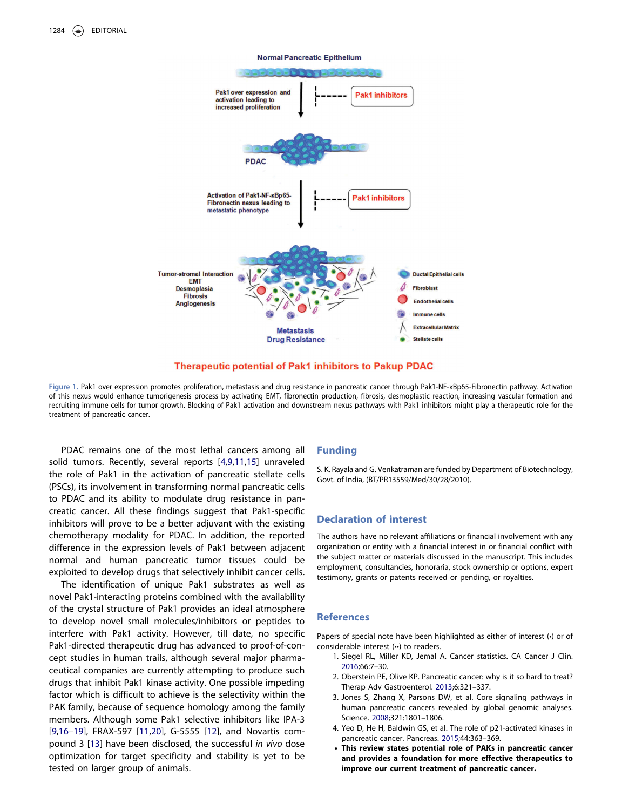

#### Therapeutic potential of Pak1 inhibitors to Pakup PDAC

<span id="page-2-4"></span>Figure 1. Pak1 over expression promotes proliferation, metastasis and drug resistance in pancreatic cancer through Pak1-NF-κBp65-Fibronectin pathway. Activation of this nexus would enhance tumorigenesis process by activating EMT, fibronectin production, fibrosis, desmoplastic reaction, increasing vascular formation and recruiting immune cells for tumor growth. Blocking of Pak1 activation and downstream nexus pathways with Pak1 inhibitors might play a therapeutic role for the treatment of pancreatic cancer.

<span id="page-2-6"></span>PDAC remains one of the most lethal cancers among all solid tumors. Recently, several reports [\[4](#page-2-3)[,9,](#page-3-4)[11,](#page-3-6)[15](#page-3-9)] unraveled the role of Pak1 in the activation of pancreatic stellate cells (PSCs), its involvement in transforming normal pancreatic cells to PDAC and its ability to modulate drug resistance in pancreatic cancer. All these findings suggest that Pak1-specific inhibitors will prove to be a better adjuvant with the existing chemotherapy modality for PDAC. In addition, the reported difference in the expression levels of Pak1 between adjacent normal and human pancreatic tumor tissues could be exploited to develop drugs that selectively inhibit cancer cells.

<span id="page-2-5"></span>The identification of unique Pak1 substrates as well as novel Pak1-interacting proteins combined with the availability of the crystal structure of Pak1 provides an ideal atmosphere to develop novel small molecules/inhibitors or peptides to interfere with Pak1 activity. However, till date, no specific Pak1-directed therapeutic drug has advanced to proof-of-concept studies in human trails, although several major pharmaceutical companies are currently attempting to produce such drugs that inhibit Pak1 kinase activity. One possible impeding factor which is difficult to achieve is the selectivity within the PAK family, because of sequence homology among the family members. Although some Pak1 selective inhibitors like IPA-3 [[9,](#page-3-4)[16](#page-3-10)–[19\]](#page-3-11), FRAX-597 [[11](#page-3-6)[,20\]](#page-3-12), G-5555 [[12](#page-3-13)], and Novartis compound 3 [\[13\]](#page-3-7) have been disclosed, the successful in vivo dose optimization for target specificity and stability is yet to be tested on larger group of animals.

#### Funding

S. K. Rayala and G. Venkatraman are funded by Department of Biotechnology, Govt. of India, (BT/PR13559/Med/30/28/2010).

## Declaration of interest

The authors have no relevant affiliations or financial involvement with any organization or entity with a financial interest in or financial conflict with the subject matter or materials discussed in the manuscript. This includes employment, consultancies, honoraria, stock ownership or options, expert testimony, grants or patents received or pending, or royalties.

# **References**

Papers of special note have been highlighted as either of interest (•) or of considerable interest (••) to readers.

- <span id="page-2-0"></span>1. Siegel RL, Miller KD, Jemal A. Cancer statistics. CA Cancer J Clin. [2016](#page-1-1);66:7–30.
- <span id="page-2-1"></span>2. Oberstein PE, Olive KP. Pancreatic cancer: why is it so hard to treat? Therap Adv Gastroenterol. [2013](#page-1-2);6:321–337.
- <span id="page-2-2"></span>3. Jones S, Zhang X, Parsons DW, et al. Core signaling pathways in human pancreatic cancers revealed by global genomic analyses. Science. [2008;](#page-1-3)321:1801–1806.
- <span id="page-2-3"></span>4. Yeo D, He H, Baldwin GS, et al. The role of p21-activated kinases in pancreatic cancer. Pancreas. [2015](#page-1-4);44:363–369.
- This review states potential role of PAKs in pancreatic cancer and provides a foundation for more effective therapeutics to improve our current treatment of pancreatic cancer.

#### **Normal Pancreatic Epithelium**